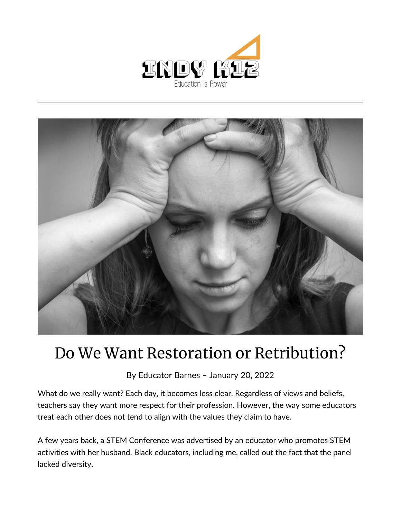



## Do We Want Restoration or Retribution?

By [Educator Barnes](https://indy.education/author/shicole/) – January 20, 2022

What do we really want? Each day, it becomes less clear. Regardless of views and beliefs, teachers say they want more respect for their profession. However, the way some educators treat each other does not tend to align with the values they claim to have.

A few years back, a STEM Conference was advertised by an educator who promotes STEM activities with her husband. Black educators, including me, called out the fact that the panel lacked diversity.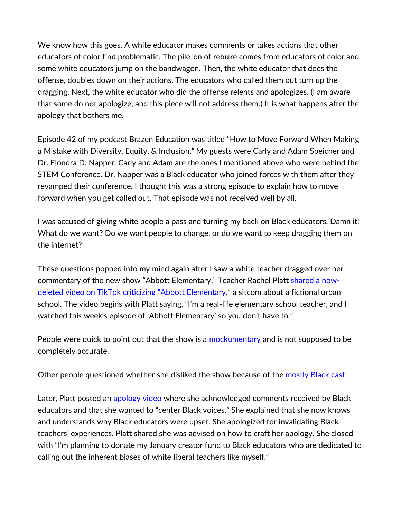We know how this goes. A white educator makes comments or takes actions that other educators of color find problematic. The pile-on of rebuke comes from educators of color and some white educators jump on the bandwagon. Then, the white educator that does the offense, doubles down on their actions. The educators who called them out turn up the dragging. Next, the white educator who did the offense relents and apologizes. (I am aware that some do not apologize, and this piece will not address them.) It is what happens after the apology that bothers me.

Episode 42 of my podcast [Brazen Education](https://educatorbarnes.com/brazen-education-podcast/) was titled "How to Move Forward When Making a Mistake with Diversity, Equity, & Inclusion." My guests were Carly and Adam Speicher and Dr. Elondra D. Napper. Carly and Adam are the ones I mentioned above who were behind the STEM Conference. Dr. Napper was a Black educator who joined forces with them after they revamped their conference. I thought this was a strong episode to explain how to move forward when you get called out. That episode was not received well by all.

I was accused of giving white people a pass and turning my back on Black educators. Damn it! What do we want? Do we want people to change, or do we want to keep dragging them on the internet?

These questions popped into my mind again after I saw a white teacher dragged over her commentary of the new show "[Abbott Elementary](https://indy.education/2022/01/12/an-inner-city-teachers-review-of-abbot-elementary/)." Teacher Rachel Platt [shared a now](https://twitter.com/Asharp52/status/1482720615631142914?s=20&t=j60yM8GJvfR_D6yeTpRhcA)[deleted video on TikTok criticizing "Abbott Elementary,"](https://twitter.com/Asharp52/status/1482720615631142914?s=20&t=j60yM8GJvfR_D6yeTpRhcA) a sitcom about a fictional urban school. The video begins with Platt saying, "I'm a real-life elementary school teacher, and I watched this week's episode of 'Abbott Elementary' so you don't have to."

People were quick to point out that the show is a [mockumentary](https://twitter.com/Pettynae1985/status/1482727182661206017?s=20&t=j60yM8GJvfR_D6yeTpRhcA) and is not supposed to be completely accurate.

Other people questioned whether she disliked the show because of the [mostly Black cast.](https://twitter.com/imthatfagulikee/status/1482925181051891713?s=20&t=QAt5kL9SBulDJmlTpFWxtg)

Later, Platt posted an [apology video](https://twitter.com/badwithfeels/status/1482737147853426691?s=20&t=KejbInGCVgDVc3Jjqpamdw) where she acknowledged comments received by Black educators and that she wanted to "center Black voices." She explained that she now knows and understands why Black educators were upset. She apologized for invalidating Black teachers' experiences. Platt shared she was advised on how to craft her apology. She closed with "I'm planning to donate my January creator fund to Black educators who are dedicated to calling out the inherent biases of white liberal teachers like myself."